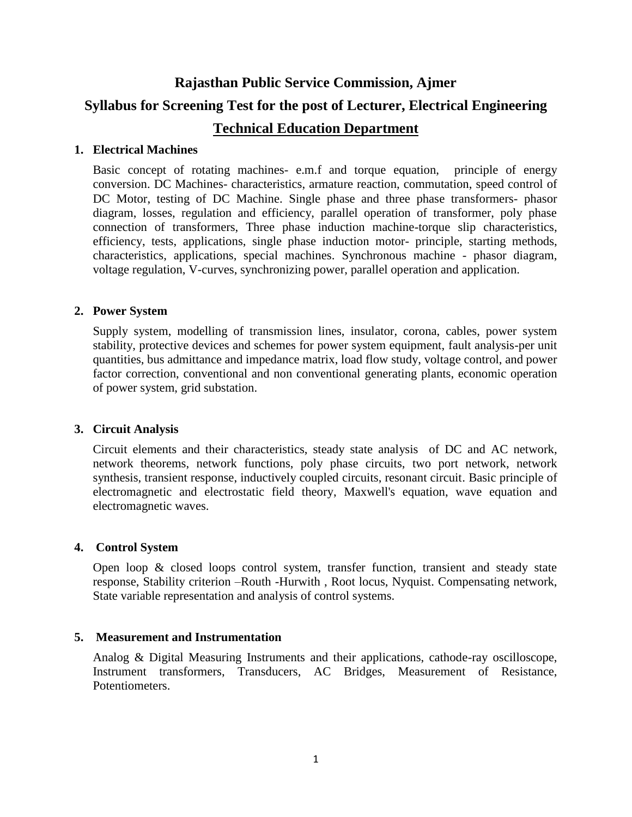# **Rajasthan Public Service Commission, Ajmer Syllabus for Screening Test for the post of Lecturer, Electrical Engineering Technical Education Department**

#### **1. Electrical Machines**

Basic concept of rotating machines- e.m.f and torque equation, principle of energy conversion. DC Machines- characteristics, armature reaction, commutation, speed control of DC Motor, testing of DC Machine. Single phase and three phase transformers- phasor diagram, losses, regulation and efficiency, parallel operation of transformer, poly phase connection of transformers, Three phase induction machine-torque slip characteristics, efficiency, tests, applications, single phase induction motor- principle, starting methods, characteristics, applications, special machines. Synchronous machine - phasor diagram, voltage regulation, V-curves, synchronizing power, parallel operation and application.

#### **2. Power System**

Supply system, modelling of transmission lines, insulator, corona, cables, power system stability, protective devices and schemes for power system equipment, fault analysis-per unit quantities, bus admittance and impedance matrix, load flow study, voltage control, and power factor correction, conventional and non conventional generating plants, economic operation of power system, grid substation.

#### **3. Circuit Analysis**

Circuit elements and their characteristics, steady state analysis of DC and AC network, network theorems, network functions, poly phase circuits, two port network, network synthesis, transient response, inductively coupled circuits, resonant circuit. Basic principle of electromagnetic and electrostatic field theory, Maxwell's equation, wave equation and electromagnetic waves.

#### **4. Control System**

Open loop & closed loops control system, transfer function, transient and steady state response, Stability criterion –Routh -Hurwith , Root locus, Nyquist. Compensating network, State variable representation and analysis of control systems.

#### **5. Measurement and Instrumentation**

Analog & Digital Measuring Instruments and their applications, cathode-ray oscilloscope, Instrument transformers, Transducers, AC Bridges, Measurement of Resistance, Potentiometers.